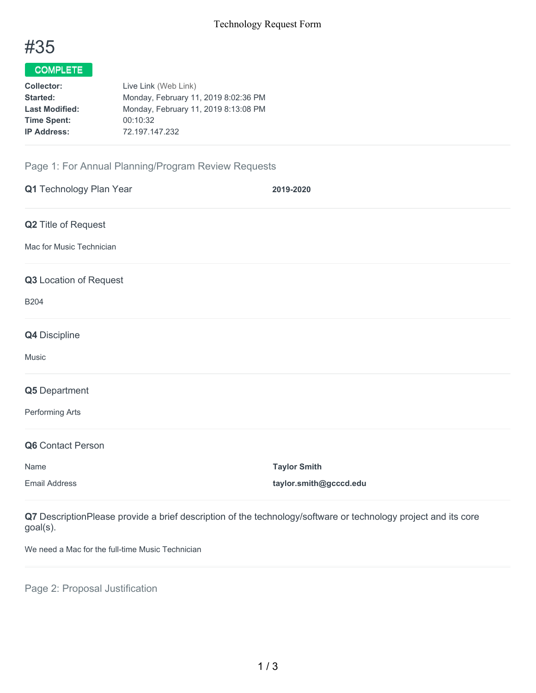

# COMPLETE

| Live Link (Web Link)                 |
|--------------------------------------|
| Monday, February 11, 2019 8:02:36 PM |
| Monday, February 11, 2019 8:13:08 PM |
| 00:10:32                             |
| 72.197.147.232                       |
|                                      |

## Page 1: For Annual Planning/Program Review Requests

| Q1 Technology Plan Year  | 2019-2020              |
|--------------------------|------------------------|
| Q2 Title of Request      |                        |
| Mac for Music Technician |                        |
| Q3 Location of Request   |                        |
| <b>B204</b>              |                        |
| Q4 Discipline            |                        |
| Music                    |                        |
| Q5 Department            |                        |
| Performing Arts          |                        |
| Q6 Contact Person        |                        |
| Name                     | <b>Taylor Smith</b>    |
| <b>Email Address</b>     | taylor.smith@gcccd.edu |

**Q7** DescriptionPlease provide a brief description of the technology/software or technology project and its core goal(s).

We need a Mac for the full-time Music Technician

Page 2: Proposal Justification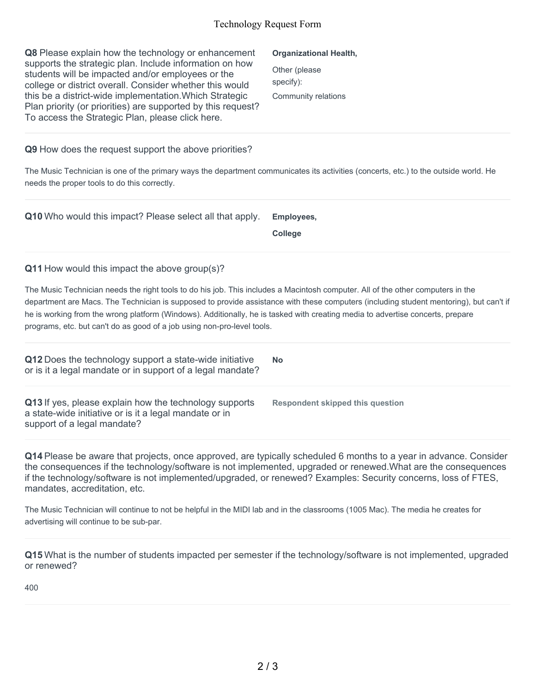### Technology Request Form

| Q8 Please explain how the technology or enhancement          |
|--------------------------------------------------------------|
| supports the strategic plan. Include information on how      |
| students will be impacted and/or employees or the            |
| college or district overall. Consider whether this would     |
| this be a district-wide implementation. Which Strategic      |
| Plan priority (or priorities) are supported by this request? |
| To access the Strategic Plan, please click here.             |

#### **Organizational Health,**

| Other (please       |
|---------------------|
| specify):           |
| Community relations |

**Q9** How does the request support the above priorities?

The Music Technician is one of the primary ways the department communicates its activities (concerts, etc.) to the outside world. He needs the proper tools to do this correctly.

| Q10 Who would this impact? Please select all that apply. | Employees.     |
|----------------------------------------------------------|----------------|
|                                                          | <b>College</b> |

**Q11** How would this impact the above group(s)?

support of a legal mandate?

mandates, accreditation, etc.

The Music Technician needs the right tools to do his job. This includes a Macintosh computer. All of the other computers in the department are Macs. The Technician is supposed to provide assistance with these computers (including student mentoring), but can't if he is working from the wrong platform (Windows). Additionally, he is tasked with creating media to advertise concerts, prepare programs, etc. but can't do as good of a job using non-pro-level tools.

**Q12** Does the technology support a state-wide initiative or is it a legal mandate or in support of a legal mandate? **No Q13** If yes, please explain how the technology supports a state-wide initiative or is it a legal mandate or in **Respondent skipped this question**

**Q14** Please be aware that projects, once approved, are typically scheduled 6 months to a year in advance. Consider the consequences if the technology/software is not implemented, upgraded or renewed.What are the consequences if the technology/software is not implemented/upgraded, or renewed? Examples: Security concerns, loss of FTES,

The Music Technician will continue to not be helpful in the MIDI lab and in the classrooms (1005 Mac). The media he creates for advertising will continue to be sub-par.

**Q15** What is the number of students impacted per semester if the technology/software is not implemented, upgraded or renewed?

400